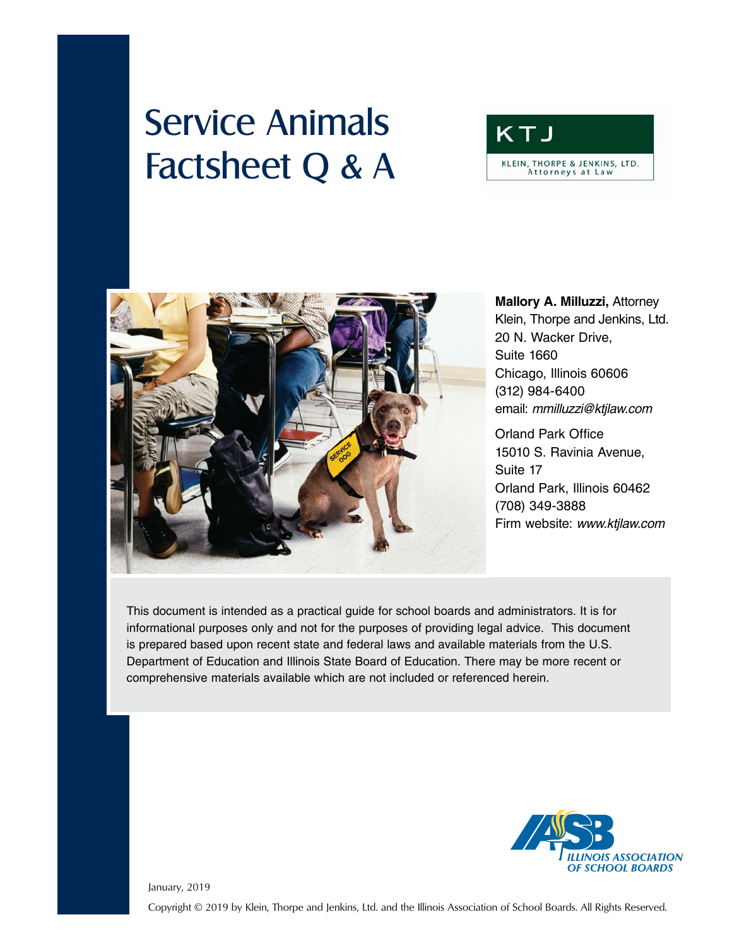# Service Animals Factsheet Q & A





# **Mallory A. Milluzzi,** Attorney Klein, Thorpe and Jenkins, Ltd. 20 N. Wacker Drive, Suite 1660 Chicago, Illinois 60606 (312) 984-6400 email: *mmilluzzi@ktjlaw.com*

Orland Park Office 15010 S. Ravinia Avenue, Suite 17 Orland Park, Illinois 60462 (708) 349-3888 Firm website: *www.ktjlaw.com*

This document is intended as a practical guide for school boards and administrators. It is for informational purposes only and not for the purposes of providing legal advice. This document is prepared based upon recent state and federal laws and available materials from the U.S. Department of Education and Illinois State Board of Education. There may be more recent or comprehensive materials available which are not included or referenced herein.



January, 2019

Copyright © 2019 by Klein, Thorpe and Jenkins, Ltd. and the Illinois Association of School Boards. All Rights Reserved.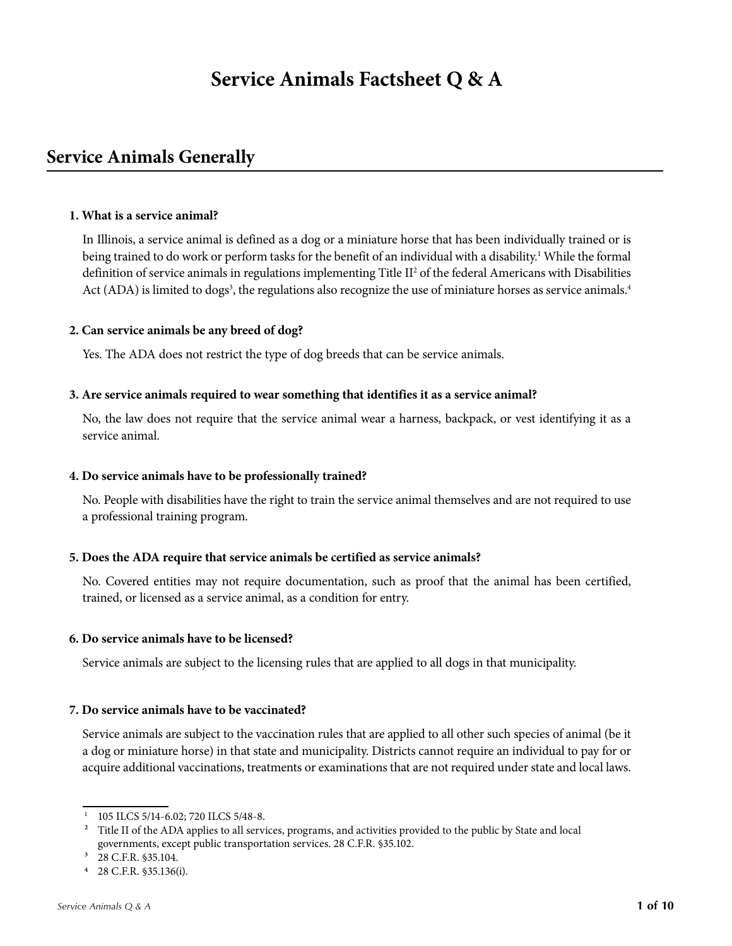# **Service Animals Factsheet Q & A**

# **Service Animals Generally**

#### **1. What is a service animal?**

In Illinois, a service animal is defined as a dog or a miniature horse that has been individually trained or is being trained to do work or perform tasks for the benefit of an individual with a disability.<sup>1</sup> While the formal definition of service animals in regulations implementing Title II<sup>2</sup> of the federal Americans with Disabilities Act (ADA) is limited to dogs<sup>3</sup>, the regulations also recognize the use of miniature horses as service animals.<sup>4</sup>

#### **2. Can service animals be any breed of dog?**

Yes. The ADA does not restrict the type of dog breeds that can be service animals.

#### **3. Are service animals required to wear something that identifies it as a service animal?**

No, the law does not require that the service animal wear a harness, backpack, or vest identifying it as a service animal.

#### **4. Do service animals have to be professionally trained?**

No. People with disabilities have the right to train the service animal themselves and are not required to use a professional training program.

#### **5. Does the ADA require that service animals be certified as service animals?**

No. Covered entities may not require documentation, such as proof that the animal has been certified, trained, or licensed as a service animal, as a condition for entry.

#### **6. Do service animals have to be licensed?**

Service animals are subject to the licensing rules that are applied to all dogs in that municipality.

#### **7. Do service animals have to be vaccinated?**

Service animals are subject to the vaccination rules that are applied to all other such species of animal (be it a dog or miniature horse) in that state and municipality. Districts cannot require an individual to pay for or acquire additional vaccinations, treatments or examinations that are not required under state and local laws.

<sup>1 105</sup> ILCS 5/14-6.02; 720 ILCS 5/48-8.

<sup>&</sup>lt;sup>2</sup> Title II of the ADA applies to all services, programs, and activities provided to the public by State and local governments, except public transportation services. 28 C.F.R. §35.102.

<sup>&</sup>lt;sup>3</sup> 28 C.F.R. §35.104.

<sup>4 28</sup> C.F.R. §35.136(i).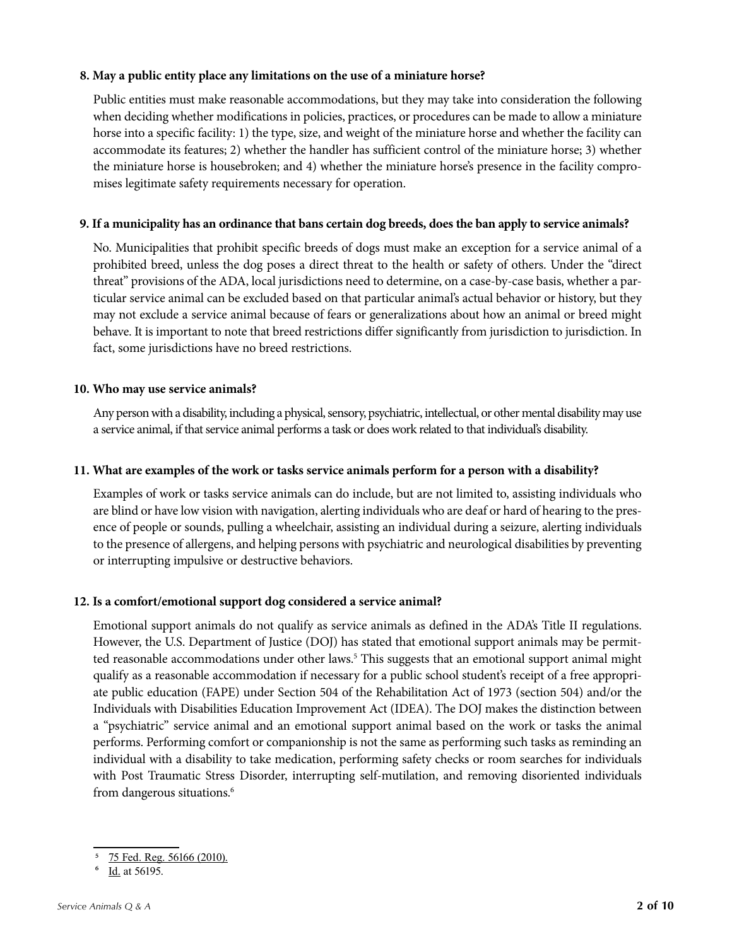#### **8. May a public entity place any limitations on the use of a miniature horse?**

Public entities must make reasonable accommodations, but they may take into consideration the following when deciding whether modifications in policies, practices, or procedures can be made to allow a miniature horse into a specific facility: 1) the type, size, and weight of the miniature horse and whether the facility can accommodate its features; 2) whether the handler has sufficient control of the miniature horse; 3) whether the miniature horse is housebroken; and 4) whether the miniature horse's presence in the facility compromises legitimate safety requirements necessary for operation.

#### **9. If a municipality has an ordinance that bans certain dog breeds, does the ban apply to service animals?**

No. Municipalities that prohibit specific breeds of dogs must make an exception for a service animal of a prohibited breed, unless the dog poses a direct threat to the health or safety of others. Under the "direct threat" provisions of the ADA, local jurisdictions need to determine, on a case-by-case basis, whether a particular service animal can be excluded based on that particular animal's actual behavior or history, but they may not exclude a service animal because of fears or generalizations about how an animal or breed might behave. It is important to note that breed restrictions differ significantly from jurisdiction to jurisdiction. In fact, some jurisdictions have no breed restrictions.

#### **10. Who may use service animals?**

Any person with a disability, including a physical, sensory, psychiatric, intellectual, or other mental disability may use a service animal, if that service animal performs a task or does work related to that individual's disability.

#### **11. What are examples of the work or tasks service animals perform for a person with a disability?**

Examples of work or tasks service animals can do include, but are not limited to, assisting individuals who are blind or have low vision with navigation, alerting individuals who are deaf or hard of hearing to the presence of people or sounds, pulling a wheelchair, assisting an individual during a seizure, alerting individuals to the presence of allergens, and helping persons with psychiatric and neurological disabilities by preventing or interrupting impulsive or destructive behaviors.

#### **12. Is a comfort/emotional support dog considered a service animal?**

Emotional support animals do not qualify as service animals as defined in the ADA's Title II regulations. However, the U.S. Department of Justice (DOJ) has stated that emotional support animals may be permitted reasonable accommodations under other laws.<sup>5</sup> This suggests that an emotional support animal might qualify as a reasonable accommodation if necessary for a public school student's receipt of a free appropriate public education (FAPE) under Section 504 of the Rehabilitation Act of 1973 (section 504) and/or the Individuals with Disabilities Education Improvement Act (IDEA). The DOJ makes the distinction between a "psychiatric" service animal and an emotional support animal based on the work or tasks the animal performs. Performing comfort or companionship is not the same as performing such tasks as reminding an individual with a disability to take medication, performing safety checks or room searches for individuals with Post Traumatic Stress Disorder, interrupting self-mutilation, and removing disoriented individuals from dangerous situations.<sup>6</sup>

 $\frac{5}{14}$   $\frac{75 \text{ Fed. Reg. } 56166 (2010)}{14 \text{ et } 56105}$ 

Id. at 56195.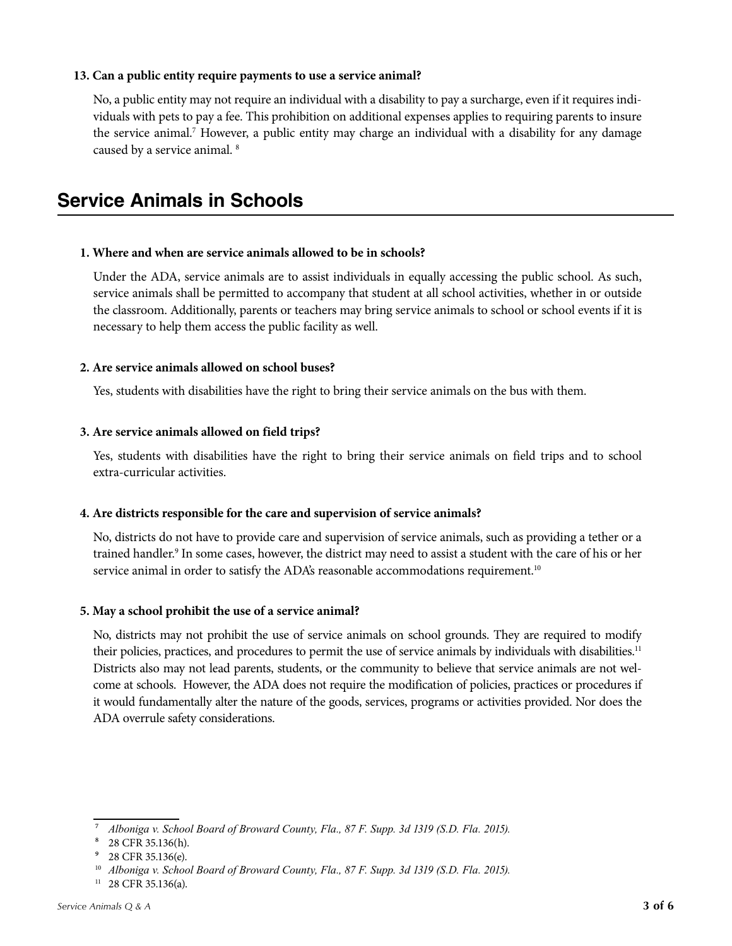#### **13. Can a public entity require payments to use a service animal?**

No, a public entity may not require an individual with a disability to pay a surcharge, even if it requires individuals with pets to pay a fee. This prohibition on additional expenses applies to requiring parents to insure the service animal.<sup>7</sup> However, a public entity may charge an individual with a disability for any damage caused by a service animal. 8

# **Service Animals in Schools**

#### **1. Where and when are service animals allowed to be in schools?**

Under the ADA, service animals are to assist individuals in equally accessing the public school. As such, service animals shall be permitted to accompany that student at all school activities, whether in or outside the classroom. Additionally, parents or teachers may bring service animals to school or school events if it is necessary to help them access the public facility as well.

#### **2. Are service animals allowed on school buses?**

Yes, students with disabilities have the right to bring their service animals on the bus with them.

#### **3. Are service animals allowed on field trips?**

Yes, students with disabilities have the right to bring their service animals on field trips and to school extra-curricular activities.

#### **4. Are districts responsible for the care and supervision of service animals?**

No, districts do not have to provide care and supervision of service animals, such as providing a tether or a trained handler.9 In some cases, however, the district may need to assist a student with the care of his or her service animal in order to satisfy the ADA's reasonable accommodations requirement.<sup>10</sup>

#### **5. May a school prohibit the use of a service animal?**

No, districts may not prohibit the use of service animals on school grounds. They are required to modify their policies, practices, and procedures to permit the use of service animals by individuals with disabilities.<sup>11</sup> Districts also may not lead parents, students, or the community to believe that service animals are not welcome at schools. However, the ADA does not require the modification of policies, practices or procedures if it would fundamentally alter the nature of the goods, services, programs or activities provided. Nor does the ADA overrule safety considerations.

⁷ *Alboniga v. School Board of Broward County, Fla., 87 F. Supp. 3d 1319 (S.D. Fla. 2015).*

⁸ 28 CFR 35.136(h).

<sup>&</sup>lt;sup>9</sup> 28 CFR 35.136(e).

<sup>10</sup> *Alboniga v. School Board of Broward County, Fla., 87 F. Supp. 3d 1319 (S.D. Fla. 2015).*

 $11$  28 CFR 35.136(a).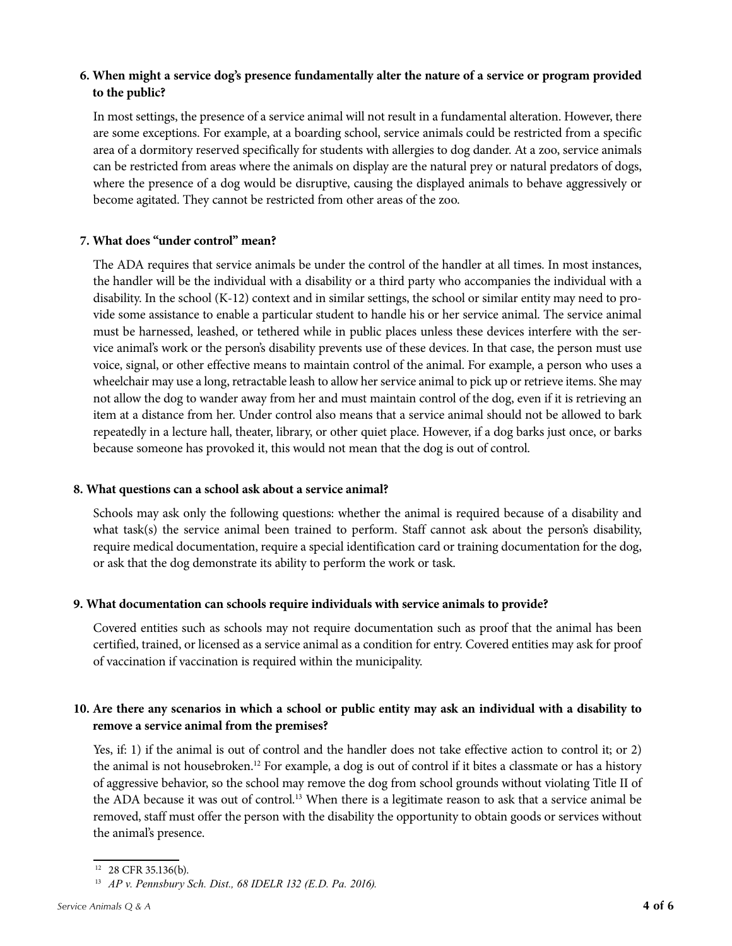## **6. When might a service dog's presence fundamentally alter the nature of a service or program provided to the public?**

In most settings, the presence of a service animal will not result in a fundamental alteration. However, there are some exceptions. For example, at a boarding school, service animals could be restricted from a specific area of a dormitory reserved specifically for students with allergies to dog dander. At a zoo, service animals can be restricted from areas where the animals on display are the natural prey or natural predators of dogs, where the presence of a dog would be disruptive, causing the displayed animals to behave aggressively or become agitated. They cannot be restricted from other areas of the zoo.

### **7. What does "under control" mean?**

The ADA requires that service animals be under the control of the handler at all times. In most instances, the handler will be the individual with a disability or a third party who accompanies the individual with a disability. In the school (K-12) context and in similar settings, the school or similar entity may need to provide some assistance to enable a particular student to handle his or her service animal. The service animal must be harnessed, leashed, or tethered while in public places unless these devices interfere with the service animal's work or the person's disability prevents use of these devices. In that case, the person must use voice, signal, or other effective means to maintain control of the animal. For example, a person who uses a wheelchair may use a long, retractable leash to allow her service animal to pick up or retrieve items. She may not allow the dog to wander away from her and must maintain control of the dog, even if it is retrieving an item at a distance from her. Under control also means that a service animal should not be allowed to bark repeatedly in a lecture hall, theater, library, or other quiet place. However, if a dog barks just once, or barks because someone has provoked it, this would not mean that the dog is out of control.

#### **8. What questions can a school ask about a service animal?**

Schools may ask only the following questions: whether the animal is required because of a disability and what task(s) the service animal been trained to perform. Staff cannot ask about the person's disability, require medical documentation, require a special identification card or training documentation for the dog, or ask that the dog demonstrate its ability to perform the work or task.

## **9. What documentation can schools require individuals with service animals to provide?**

Covered entities such as schools may not require documentation such as proof that the animal has been certified, trained, or licensed as a service animal as a condition for entry. Covered entities may ask for proof of vaccination if vaccination is required within the municipality.

## **10. Are there any scenarios in which a school or public entity may ask an individual with a disability to remove a service animal from the premises?**

Yes, if: 1) if the animal is out of control and the handler does not take effective action to control it; or 2) the animal is not housebroken.12 For example, a dog is out of control if it bites a classmate or has a history of aggressive behavior, so the school may remove the dog from school grounds without violating Title II of the ADA because it was out of control.<sup>13</sup> When there is a legitimate reason to ask that a service animal be removed, staff must offer the person with the disability the opportunity to obtain goods or services without the animal's presence.

<sup>12 28</sup> CFR 35.136(b).

<sup>13</sup> *AP v. Pennsbury Sch. Dist., 68 IDELR 132 (E.D. Pa. 2016).*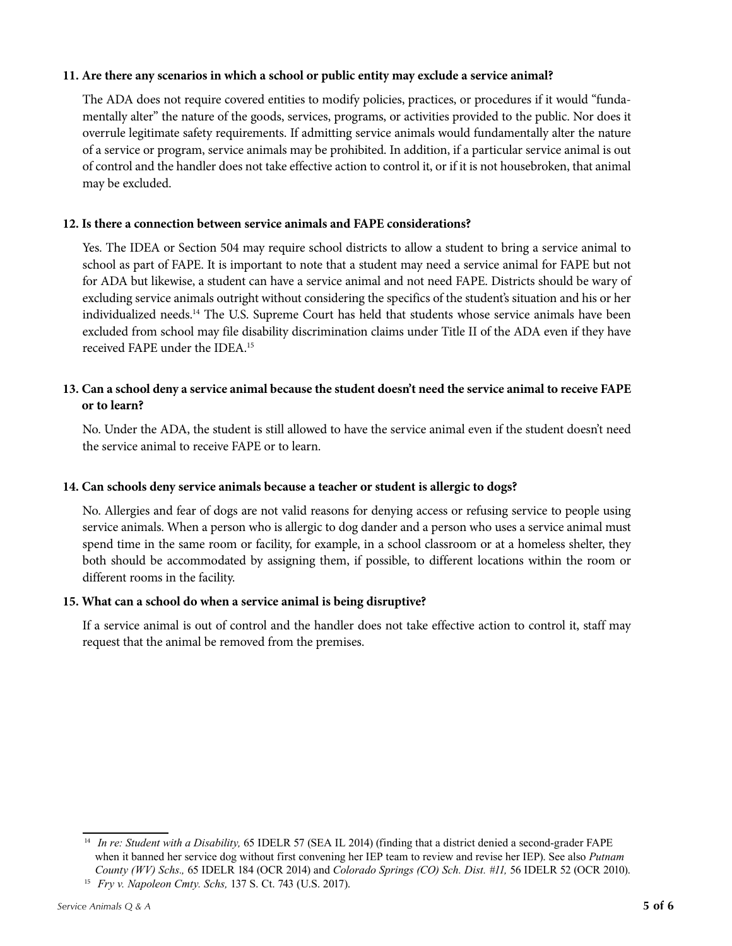#### **11. Are there any scenarios in which a school or public entity may exclude a service animal?**

The ADA does not require covered entities to modify policies, practices, or procedures if it would "fundamentally alter" the nature of the goods, services, programs, or activities provided to the public. Nor does it overrule legitimate safety requirements. If admitting service animals would fundamentally alter the nature of a service or program, service animals may be prohibited. In addition, if a particular service animal is out of control and the handler does not take effective action to control it, or if it is not housebroken, that animal may be excluded.

#### **12. Is there a connection between service animals and FAPE considerations?**

Yes. The IDEA or Section 504 may require school districts to allow a student to bring a service animal to school as part of FAPE. It is important to note that a student may need a service animal for FAPE but not for ADA but likewise, a student can have a service animal and not need FAPE. Districts should be wary of excluding service animals outright without considering the specifics of the student's situation and his or her individualized needs.14 The U.S. Supreme Court has held that students whose service animals have been excluded from school may file disability discrimination claims under Title II of the ADA even if they have received FAPE under the IDEA<sup>15</sup>

#### **13. Can a school deny a service animal because the student doesn't need the service animal to receive FAPE or to learn?**

No. Under the ADA, the student is still allowed to have the service animal even if the student doesn't need the service animal to receive FAPE or to learn.

#### **14. Can schools deny service animals because a teacher or student is allergic to dogs?**

No. Allergies and fear of dogs are not valid reasons for denying access or refusing service to people using service animals. When a person who is allergic to dog dander and a person who uses a service animal must spend time in the same room or facility, for example, in a school classroom or at a homeless shelter, they both should be accommodated by assigning them, if possible, to different locations within the room or different rooms in the facility.

#### **15. What can a school do when a service animal is being disruptive?**

If a service animal is out of control and the handler does not take effective action to control it, staff may request that the animal be removed from the premises.

<sup>15</sup> *Fry v. Napoleon Cmty. Schs,* 137 S. Ct. 743 (U.S. 2017).

<sup>14</sup> *In re: Student with a Disability,* 65 IDELR 57 (SEA IL 2014) (finding that a district denied a second-grader FAPE when it banned her service dog without first convening her IEP team to review and revise her IEP). See also *Putnam County (WV) Schs.,* 65 IDELR 184 (OCR 2014) and *Colorado Springs (CO) Sch. Dist. #11,* 56 IDELR 52 (OCR 2010).